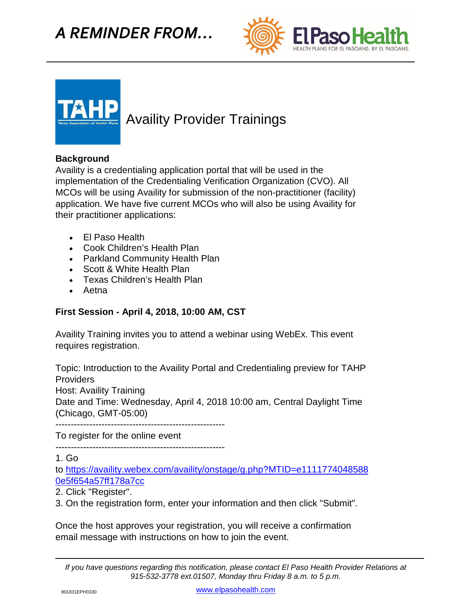





## Availity Provider Trainings

## **Background**

Availity is a credentialing application portal that will be used in the implementation of the Credentialing Verification Organization (CVO). All MCOs will be using Availity for submission of the non-practitioner (facility) application. We have five current MCOs who will also be using Availity for their practitioner applications:

- El Paso Health
- Cook Children's Health Plan
- Parkland Community Health Plan
- Scott & White Health Plan
- Texas Children's Health Plan
- Aetna

## **First Session - April 4, 2018, 10:00 AM, CST**

Availity Training invites you to attend a webinar using WebEx. This event requires registration.

Topic: Introduction to the Availity Portal and Credentialing preview for TAHP **Providers** 

Host: Availity Training

Date and Time: Wednesday, April 4, 2018 10:00 am, Central Daylight Time (Chicago, GMT-05:00)

-------------------------------------------------------

To register for the online event

-------------------------------------------------------

1. Go

to [https://availity.webex.com/availity/onstage/g.php?MTID=e1111774048588](https://availity.webex.com/availity/onstage/g.php?MTID=e11117740485880e5f654a57ff178a7cc) [0e5f654a57ff178a7cc](https://availity.webex.com/availity/onstage/g.php?MTID=e11117740485880e5f654a57ff178a7cc)

2. Click "Register".

3. On the registration form, enter your information and then click "Submit".

Once the host approves your registration, you will receive a confirmation email message with instructions on how to join the event.

*If you have questions regarding this notification, please contact El Paso Health Provider Relations at 915-532-3778 ext.01507, Monday thru Friday 8 a.m. to 5 p.m.*